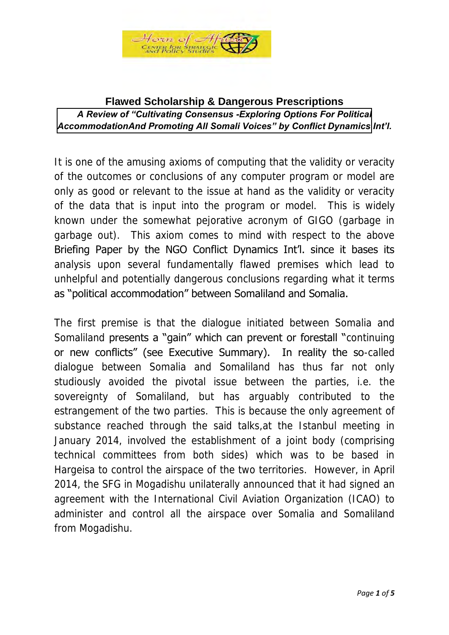

## **Flawed Scholarship & Dangerous Prescriptions**  *A Review of "Cultivating Consensus -Exploring Options For Political [AccommodationAnd Promoting All Somali Voices" by Conflict Dynamics](http://www.cdint.org/documents/CDI-Cultivating_Consensus_full_report_English.pdf) Int'l.*

It is one of the amusing axioms of computing that the validity or veracity of the outcomes or conclusions of any computer program or model are only as good or relevant to the issue at hand as the validity or veracity of the data that is input into the program or model. This is widely known under the somewhat pejorative acronym of GIGO (garbage in garbage out). This axiom comes to mind with respect to the above Briefing Paper by the NGO Conflict Dynamics Int'l. since it bases its analysis upon several fundamentally flawed premises which lead to unhelpful and potentially dangerous conclusions regarding what it terms as "political accommodation" between Somaliland and Somalia.

The first premise is that the dialogue initiated between Somalia and Somaliland presents a "gain" which can prevent or forestall "continuing or new conflicts" (see Executive Summary). In reality the so-called dialogue between Somalia and Somaliland has thus far not only studiously avoided the pivotal issue between the parties, i.e. the sovereignty of Somaliland, but has arguably contributed to the estrangement of the two parties. This is because the only agreement of substance reached through the said talks,at the Istanbul meeting in January 2014, involved the establishment of a joint body (comprising technical committees from both sides) which was to be based in Hargeisa to control the airspace of the two territories. However, in April 2014, the SFG in Mogadishu unilaterally announced that it had signed an agreement with the International Civil Aviation Organization (ICAO) to administer and control all the airspace over Somalia and Somaliland from Mogadishu.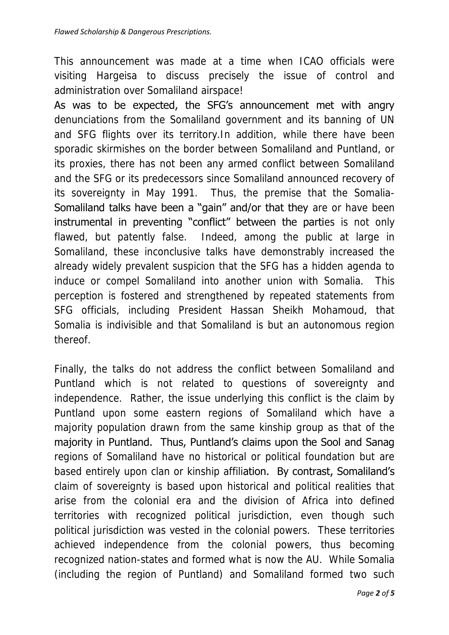This announcement was made at a time when ICAO officials were visiting Hargeisa to discuss precisely the issue of control and administration over Somaliland airspace!

As was to be expected, the SFG's announcement met with angry denunciations from the Somaliland government and its banning of UN and SFG flights over its territory.In addition, while there have been sporadic skirmishes on the border between Somaliland and Puntland, or its proxies, there has not been any armed conflict between Somaliland and the SFG or its predecessors since Somaliland announced recovery of its sovereignty in May 1991. Thus, the premise that the Somalia-Somaliland talks have been a "gain" and/or that they are or have been instrumental in preventing "conflict" between the parties is not only flawed, but patently false. Indeed, among the public at large in Somaliland, these inconclusive talks have demonstrably increased the already widely prevalent suspicion that the SFG has a hidden agenda to induce or compel Somaliland into another union with Somalia. This perception is fostered and strengthened by repeated statements from SFG officials, including President Hassan Sheikh Mohamoud, that Somalia is indivisible and that Somaliland is but an autonomous region thereof.

Finally, the talks do not address the conflict between Somaliland and Puntland which is not related to questions of sovereignty and independence. Rather, the issue underlying this conflict is the claim by Puntland upon some eastern regions of Somaliland which have a majority population drawn from the same kinship group as that of the majority in Puntland. Thus, Puntland's claims upon the Sool and Sanag regions of Somaliland have no historical or political foundation but are based entirely upon clan or kinship affiliation. By contrast, Somaliland's claim of sovereignty is based upon historical and political realities that arise from the colonial era and the division of Africa into defined territories with recognized political jurisdiction, even though such political jurisdiction was vested in the colonial powers. These territories achieved independence from the colonial powers, thus becoming recognized nation-states and formed what is now the AU. While Somalia (including the region of Puntland) and Somaliland formed two such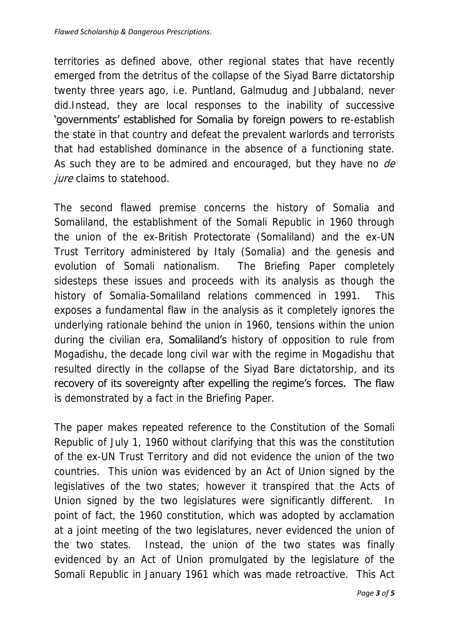territories as defined above, other regional states that have recently emerged from the detritus of the collapse of the Siyad Barre dictatorship twenty three years ago, i.e. Puntland, Galmudug and Jubbaland, never did.Instead, they are local responses to the inability of successive 'governments' established for Somalia by foreign powers to re-establish the state in that country and defeat the prevalent warlords and terrorists that had established dominance in the absence of a functioning state. As such they are to be admired and encouraged, but they have no de jure claims to statehood.

The second flawed premise concerns the history of Somalia and Somaliland, the establishment of the Somali Republic in 1960 through the union of the ex-British Protectorate (Somaliland) and the ex-UN Trust Territory administered by Italy (Somalia) and the genesis and evolution of Somali nationalism. The Briefing Paper completely sidesteps these issues and proceeds with its analysis as though the history of Somalia-Somaliland relations commenced in 1991. This exposes a fundamental flaw in the analysis as it completely ignores the underlying rationale behind the union in 1960, tensions within the union during the civilian era, **Somaliland's** history of opposition to rule from Mogadishu, the decade long civil war with the regime in Mogadishu that resulted directly in the collapse of the Siyad Bare dictatorship, and its recovery of its sovereignty after expelling the regime's forces. The flaw is demonstrated by a fact in the Briefing Paper.

The paper makes repeated reference to the Constitution of the Somali Republic of July 1, 1960 without clarifying that this was the constitution of the ex-UN Trust Territory and did not evidence the union of the two countries. This union was evidenced by an Act of Union signed by the legislatives of the two states; however it transpired that the Acts of Union signed by the two legislatures were significantly different. In point of fact, the 1960 constitution, which was adopted by acclamation at a joint meeting of the two legislatures, never evidenced the union of the two states. Instead, the union of the two states was finally evidenced by an Act of Union promulgated by the legislature of the Somali Republic in January 1961 which was made retroactive. This Act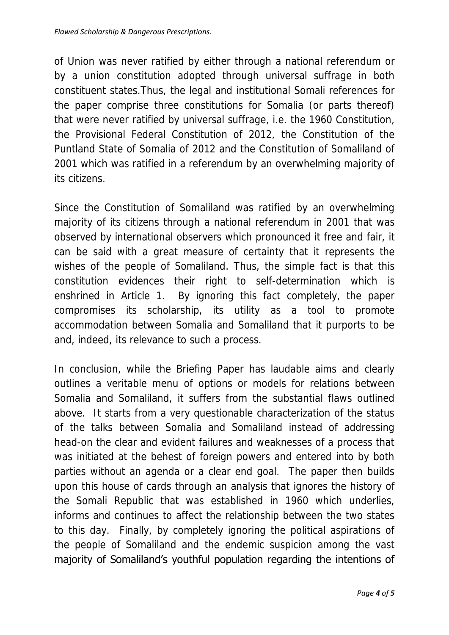of Union was never ratified by either through a national referendum or by a union constitution adopted through universal suffrage in both constituent states.Thus, the legal and institutional Somali references for the paper comprise three constitutions for Somalia (or parts thereof) that were never ratified by universal suffrage, i.e. the 1960 Constitution, the Provisional Federal Constitution of 2012, the Constitution of the Puntland State of Somalia of 2012 and the Constitution of Somaliland of 2001 which was ratified in a referendum by an overwhelming majority of its citizens.

Since the Constitution of Somaliland was ratified by an overwhelming majority of its citizens through a national referendum in 2001 that was observed by international observers which pronounced it free and fair, it can be said with a great measure of certainty that it represents the wishes of the people of Somaliland. Thus, the simple fact is that this constitution evidences their right to self-determination which is enshrined in Article 1. By ignoring this fact completely, the paper compromises its scholarship, its utility as a tool to promote accommodation between Somalia and Somaliland that it purports to be and, indeed, its relevance to such a process.

In conclusion, while the Briefing Paper has laudable aims and clearly outlines a veritable menu of options or models for relations between Somalia and Somaliland, it suffers from the substantial flaws outlined above. It starts from a very questionable characterization of the status of the talks between Somalia and Somaliland instead of addressing head-on the clear and evident failures and weaknesses of a process that was initiated at the behest of foreign powers and entered into by both parties without an agenda or a clear end goal. The paper then builds upon this house of cards through an analysis that ignores the history of the Somali Republic that was established in 1960 which underlies, informs and continues to affect the relationship between the two states to this day. Finally, by completely ignoring the political aspirations of the people of Somaliland and the endemic suspicion among the vast majority of Somaliland's youthful population regarding the intentions of